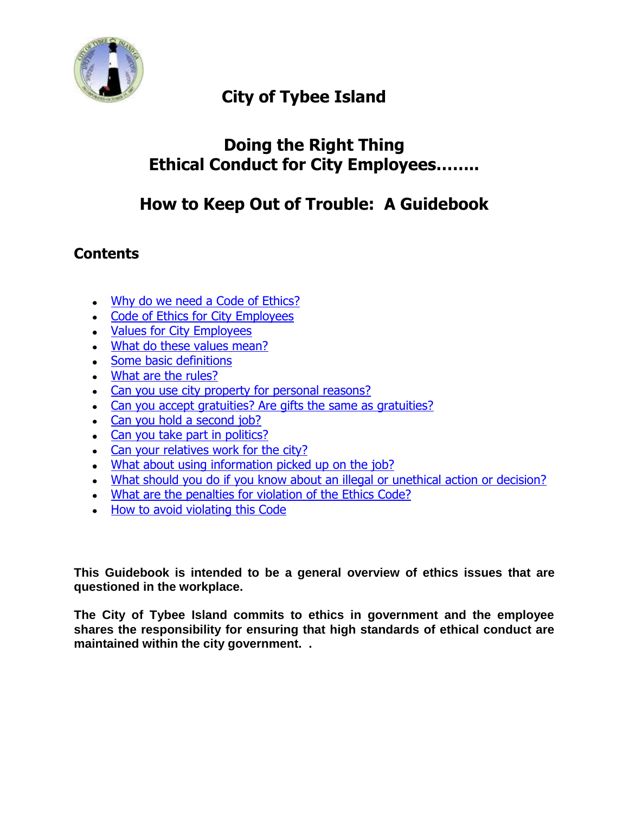

# **City of Tybee Island**

## **Doing the Right Thing Ethical Conduct for City Employees……..**

## **How to Keep Out of Trouble: A Guidebook**

## **Contents**

- Why do we need a Code of Ethics?
- Code of Ethics for City Employees
- Values for City Employees
- [What do these values mean?](http://www.cityoflakewales.com/hr/ethics.shtml#4.)
- Some basic definitions
- [What are the rules?](http://www.cityoflakewales.com/hr/ethics.shtml#6.)
- Can you use city property for personal reasons?
- [Can you accept gratuities? Are gifts the same as gratuities?](http://www.cityoflakewales.com/hr/ethics.shtml#8.)
- Can you hold a second job?
- Can you take part in politics?
- Can your relatives work for the city?
- . What about using information picked up on the job?
- [What should you do if you know about an illegal or unethical action or decision?](http://www.cityoflakewales.com/hr/ethics.shtml#17.)
- . What are the penalties for violation of the Ethics Code?
- How to avoid violating this Code

**This Guidebook is intended to be a general overview of ethics issues that are questioned in the workplace.**

**The City of Tybee Island commits to ethics in government and the employee shares the responsibility for ensuring that high standards of ethical conduct are maintained within the city government. .**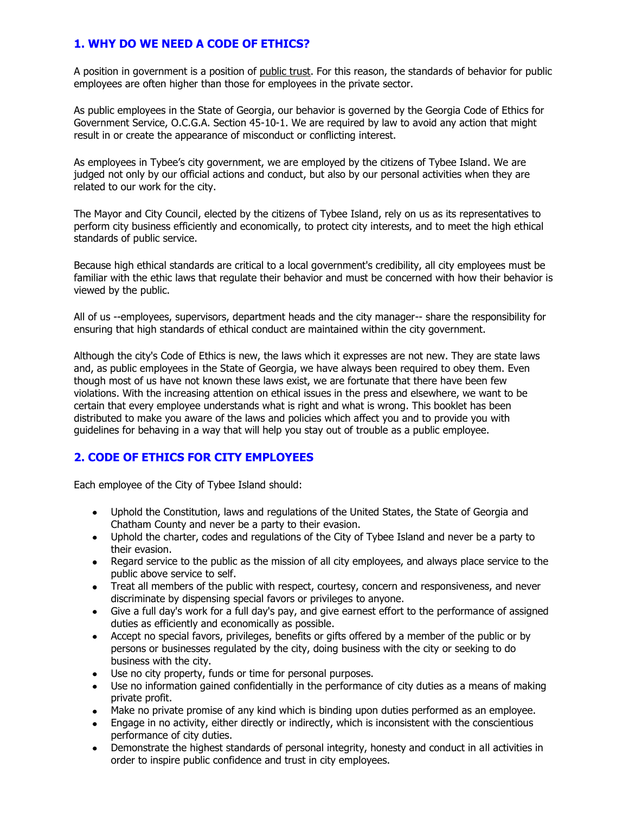## **1. WHY DO WE NEED A CODE OF ETHICS?**

A position in government is a position of public trust. For this reason, the standards of behavior for public employees are often higher than those for employees in the private sector.

As public employees in the State of Georgia, our behavior is governed by the Georgia Code of Ethics for Government Service, O.C.G.A. Section 45-10-1. We are required by law to avoid any action that might result in or create the appearance of misconduct or conflicting interest.

As employees in Tybee's city government, we are employed by the citizens of Tybee Island. We are judged not only by our official actions and conduct, but also by our personal activities when they are related to our work for the city.

The Mayor and City Council, elected by the citizens of Tybee Island, rely on us as its representatives to perform city business efficiently and economically, to protect city interests, and to meet the high ethical standards of public service.

Because high ethical standards are critical to a local government's credibility, all city employees must be familiar with the ethic laws that regulate their behavior and must be concerned with how their behavior is viewed by the public.

All of us --employees, supervisors, department heads and the city manager-- share the responsibility for ensuring that high standards of ethical conduct are maintained within the city government.

Although the city's Code of Ethics is new, the laws which it expresses are not new. They are state laws and, as public employees in the State of Georgia, we have always been required to obey them. Even though most of us have not known these laws exist, we are fortunate that there have been few violations. With the increasing attention on ethical issues in the press and elsewhere, we want to be certain that every employee understands what is right and what is wrong. This booklet has been distributed to make you aware of the laws and policies which affect you and to provide you with guidelines for behaving in a way that will help you stay out of trouble as a public employee.

## **2. CODE OF ETHICS FOR CITY EMPLOYEES**

Each employee of the City of Tybee Island should:

- Uphold the Constitution, laws and regulations of the United States, the State of Georgia and Chatham County and never be a party to their evasion.
- Uphold the charter, codes and regulations of the City of Tybee Island and never be a party to their evasion.
- Regard service to the public as the mission of all city employees, and always place service to the public above service to self.
- Treat all members of the public with respect, courtesy, concern and responsiveness, and never discriminate by dispensing special favors or privileges to anyone.
- Give a full day's work for a full day's pay, and give earnest effort to the performance of assigned duties as efficiently and economically as possible.
- Accept no special favors, privileges, benefits or gifts offered by a member of the public or by persons or businesses regulated by the city, doing business with the city or seeking to do business with the city.
- Use no city property, funds or time for personal purposes.
- Use no information gained confidentially in the performance of city duties as a means of making private profit.
- Make no private promise of any kind which is binding upon duties performed as an employee.
- Engage in no activity, either directly or indirectly, which is inconsistent with the conscientious performance of city duties.
- Demonstrate the highest standards of personal integrity, honesty and conduct in all activities in order to inspire public confidence and trust in city employees.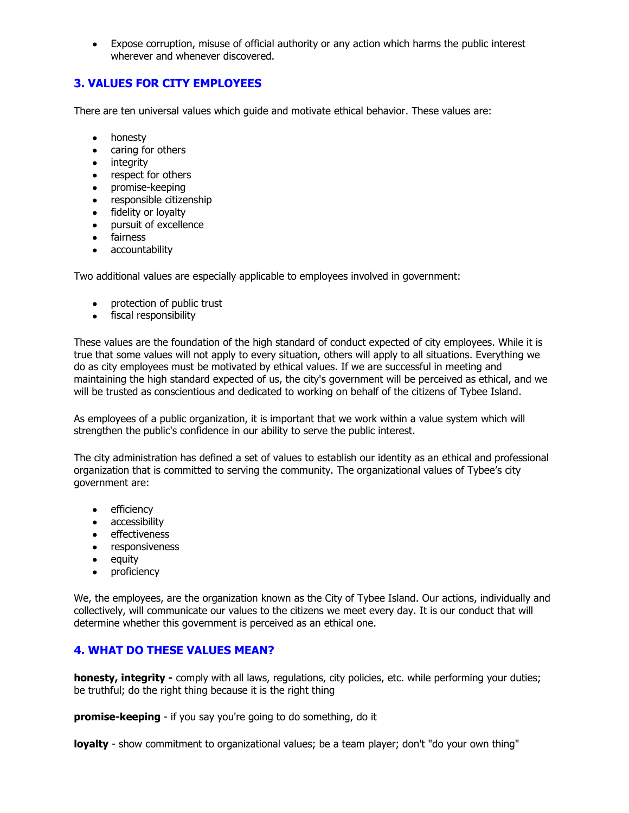Expose corruption, misuse of official authority or any action which harms the public interest wherever and whenever discovered.

## **3. VALUES FOR CITY EMPLOYEES**

There are ten universal values which guide and motivate ethical behavior. These values are:

- honesty
- caring for others
- integrity
- respect for others
- promise-keeping
- responsible citizenship
- fidelity or loyalty
- pursuit of excellence
- fairness
- accountability

Two additional values are especially applicable to employees involved in government:

- protection of public trust
- fiscal responsibility

These values are the foundation of the high standard of conduct expected of city employees. While it is true that some values will not apply to every situation, others will apply to all situations. Everything we do as city employees must be motivated by ethical values. If we are successful in meeting and maintaining the high standard expected of us, the city's government will be perceived as ethical, and we will be trusted as conscientious and dedicated to working on behalf of the citizens of Tybee Island.

As employees of a public organization, it is important that we work within a value system which will strengthen the public's confidence in our ability to serve the public interest.

The city administration has defined a set of values to establish our identity as an ethical and professional organization that is committed to serving the community. The organizational values of Tybee's city government are:

- efficiency
- accessibility
- effectiveness
- responsiveness
- equity
- proficiency

We, the employees, are the organization known as the City of Tybee Island. Our actions, individually and collectively, will communicate our values to the citizens we meet every day. It is our conduct that will determine whether this government is perceived as an ethical one.

## **4. WHAT DO THESE VALUES MEAN?**

**honesty, integrity -** comply with all laws, regulations, city policies, etc. while performing your duties; be truthful; do the right thing because it is the right thing

**promise-keeping** - if you say you're going to do something, do it

**loyalty** - show commitment to organizational values; be a team player; don't "do your own thing"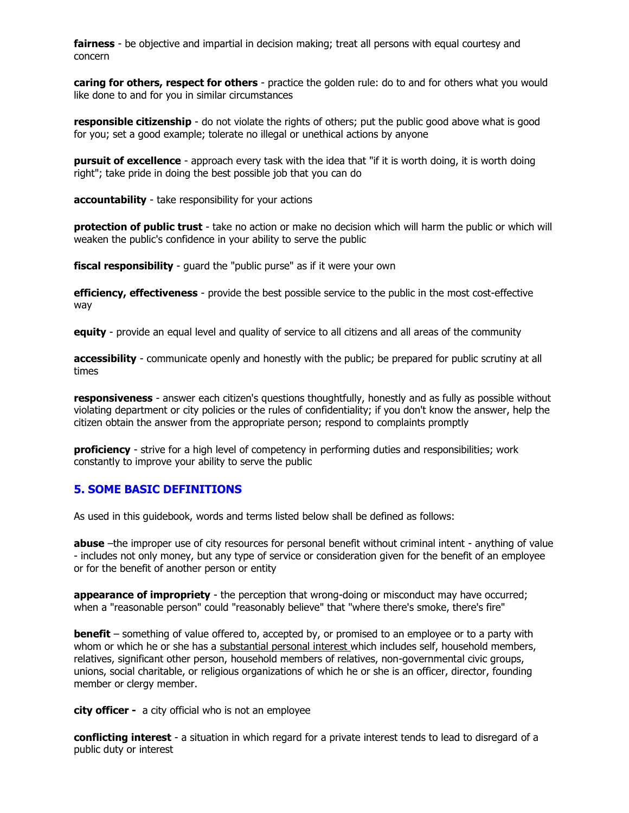**fairness** - be objective and impartial in decision making; treat all persons with equal courtesy and concern

**caring for others, respect for others** - practice the golden rule: do to and for others what you would like done to and for you in similar circumstances

**responsible citizenship** - do not violate the rights of others; put the public good above what is good for you; set a good example; tolerate no illegal or unethical actions by anyone

**pursuit of excellence** - approach every task with the idea that "if it is worth doing, it is worth doing right"; take pride in doing the best possible job that you can do

**accountability** - take responsibility for your actions

**protection of public trust** - take no action or make no decision which will harm the public or which will weaken the public's confidence in your ability to serve the public

**fiscal responsibility** - guard the "public purse" as if it were your own

**efficiency, effectiveness** - provide the best possible service to the public in the most cost-effective way

**equity** - provide an equal level and quality of service to all citizens and all areas of the community

**accessibility** - communicate openly and honestly with the public; be prepared for public scrutiny at all times

**responsiveness** - answer each citizen's questions thoughtfully, honestly and as fully as possible without violating department or city policies or the rules of confidentiality; if you don't know the answer, help the citizen obtain the answer from the appropriate person; respond to complaints promptly

**proficiency** - strive for a high level of competency in performing duties and responsibilities; work constantly to improve your ability to serve the public

#### **5. SOME BASIC DEFINITIONS**

As used in this guidebook, words and terms listed below shall be defined as follows:

**abuse** –the improper use of city resources for personal benefit without criminal intent - anything of value - includes not only money, but any type of service or consideration given for the benefit of an employee or for the benefit of another person or entity

**appearance of impropriety** - the perception that wrong-doing or misconduct may have occurred; when a "reasonable person" could "reasonably believe" that "where there's smoke, there's fire"

**benefit** – something of value offered to, accepted by, or promised to an employee or to a party with whom or which he or she has a substantial personal interest which includes self, household members, relatives, significant other person, household members of relatives, non-governmental civic groups, unions, social charitable, or religious organizations of which he or she is an officer, director, founding member or clergy member.

**city officer -** a city official who is not an employee

**conflicting interest** - a situation in which regard for a private interest tends to lead to disregard of a public duty or interest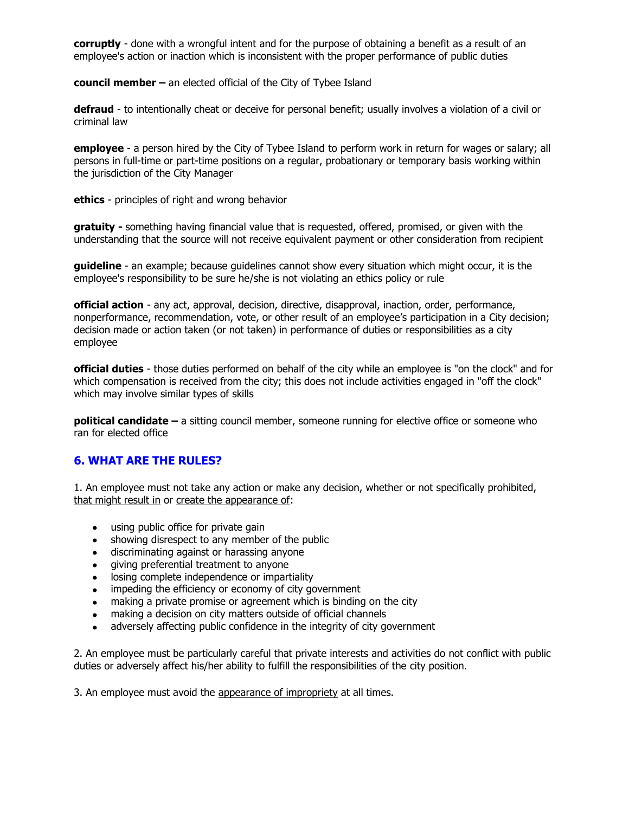**corruptly** - done with a wrongful intent and for the purpose of obtaining a benefit as a result of an employee's action or inaction which is inconsistent with the proper performance of public duties

**council member –** an elected official of the City of Tybee Island

**defraud** - to intentionally cheat or deceive for personal benefit; usually involves a violation of a civil or criminal law

**employee** - a person hired by the City of Tybee Island to perform work in return for wages or salary; all persons in full-time or part-time positions on a regular, probationary or temporary basis working within the jurisdiction of the City Manager

**ethics** - principles of right and wrong behavior

**gratuity -** something having financial value that is requested, offered, promised, or given with the understanding that the source will not receive equivalent payment or other consideration from recipient

**guideline** - an example; because guidelines cannot show every situation which might occur, it is the employee's responsibility to be sure he/she is not violating an ethics policy or rule

**official action** - any act, approval, decision, directive, disapproval, inaction, order, performance, nonperformance, recommendation, vote, or other result of an employee's participation in a City decision; decision made or action taken (or not taken) in performance of duties or responsibilities as a city employee

**official duties** - those duties performed on behalf of the city while an employee is "on the clock" and for which compensation is received from the city; this does not include activities engaged in "off the clock" which may involve similar types of skills

**political candidate –** a sitting council member, someone running for elective office or someone who ran for elected office

## **6. WHAT ARE THE RULES?**

1. An employee must not take any action or make any decision, whether or not specifically prohibited, that might result in or create the appearance of:

- using public office for private gain
- showing disrespect to any member of the public
- discriminating against or harassing anyone
- giving preferential treatment to anyone
- losing complete independence or impartiality
- impeding the efficiency or economy of city government  $\bullet$
- making a private promise or agreement which is binding on the city  $\bullet$
- making a decision on city matters outside of official channels
- adversely affecting public confidence in the integrity of city government

2. An employee must be particularly careful that private interests and activities do not conflict with public duties or adversely affect his/her ability to fulfill the responsibilities of the city position.

3. An employee must avoid the appearance of impropriety at all times.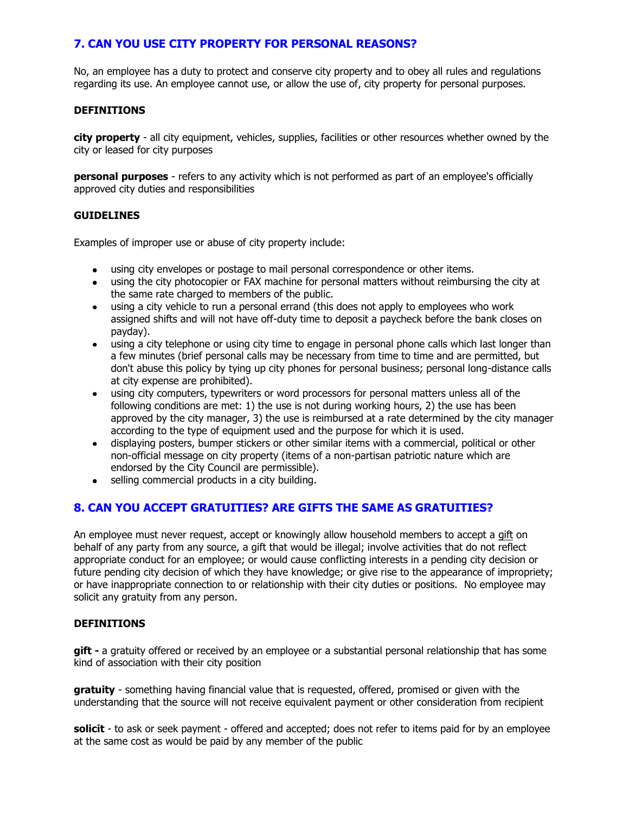## **7. CAN YOU USE CITY PROPERTY FOR PERSONAL REASONS?**

No, an employee has a duty to protect and conserve city property and to obey all rules and regulations regarding its use. An employee cannot use, or allow the use of, city property for personal purposes.

#### **DEFINITIONS**

**city property** - all city equipment, vehicles, supplies, facilities or other resources whether owned by the city or leased for city purposes

**personal purposes** - refers to any activity which is not performed as part of an employee's officially approved city duties and responsibilities

#### **GUIDELINES**

Examples of improper use or abuse of city property include:

- using city envelopes or postage to mail personal correspondence or other items.
- using the city photocopier or FAX machine for personal matters without reimbursing the city at the same rate charged to members of the public.
- using a city vehicle to run a personal errand (this does not apply to employees who work assigned shifts and will not have off-duty time to deposit a paycheck before the bank closes on payday).
- using a city telephone or using city time to engage in personal phone calls which last longer than a few minutes (brief personal calls may be necessary from time to time and are permitted, but don't abuse this policy by tying up city phones for personal business; personal long-distance calls at city expense are prohibited).
- using city computers, typewriters or word processors for personal matters unless all of the following conditions are met: 1) the use is not during working hours, 2) the use has been approved by the city manager, 3) the use is reimbursed at a rate determined by the city manager according to the type of equipment used and the purpose for which it is used.
- displaying posters, bumper stickers or other similar items with a commercial, political or other non-official message on city property (items of a non-partisan patriotic nature which are endorsed by the City Council are permissible).
- selling commercial products in a city building.  $\bullet$

## **8. CAN YOU ACCEPT GRATUITIES? ARE GIFTS THE SAME AS GRATUITIES?**

An employee must never request, accept or knowingly allow household members to accept a gift on behalf of any party from any source, a gift that would be illegal; involve activities that do not reflect appropriate conduct for an employee; or would cause conflicting interests in a pending city decision or future pending city decision of which they have knowledge; or give rise to the appearance of impropriety; or have inappropriate connection to or relationship with their city duties or positions. No employee may solicit any gratuity from any person.

#### **DEFINITIONS**

**gift -** a gratuity offered or received by an employee or a substantial personal relationship that has some kind of association with their city position

**gratuity** - something having financial value that is requested, offered, promised or given with the understanding that the source will not receive equivalent payment or other consideration from recipient

**solicit** - to ask or seek payment - offered and accepted; does not refer to items paid for by an employee at the same cost as would be paid by any member of the public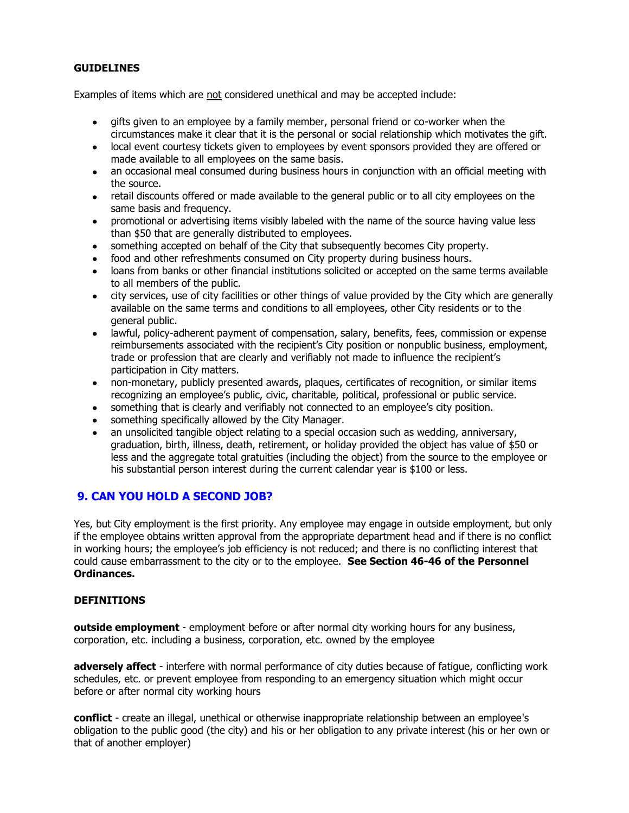#### **GUIDELINES**

Examples of items which are not considered unethical and may be accepted include:

- gifts given to an employee by a family member, personal friend or co-worker when the circumstances make it clear that it is the personal or social relationship which motivates the gift.
- local event courtesy tickets given to employees by event sponsors provided they are offered or made available to all employees on the same basis.
- an occasional meal consumed during business hours in conjunction with an official meeting with the source.
- retail discounts offered or made available to the general public or to all city employees on the same basis and frequency.
- promotional or advertising items visibly labeled with the name of the source having value less than \$50 that are generally distributed to employees.
- something accepted on behalf of the City that subsequently becomes City property.
- food and other refreshments consumed on City property during business hours.
- loans from banks or other financial institutions solicited or accepted on the same terms available to all members of the public.
- city services, use of city facilities or other things of value provided by the City which are generally available on the same terms and conditions to all employees, other City residents or to the general public.
- lawful, policy-adherent payment of compensation, salary, benefits, fees, commission or expense reimbursements associated with the recipient's City position or nonpublic business, employment, trade or profession that are clearly and verifiably not made to influence the recipient's participation in City matters.
- non-monetary, publicly presented awards, plaques, certificates of recognition, or similar items recognizing an employee's public, civic, charitable, political, professional or public service.
- something that is clearly and verifiably not connected to an employee's city position.
- something specifically allowed by the City Manager.
- an unsolicited tangible object relating to a special occasion such as wedding, anniversary, graduation, birth, illness, death, retirement, or holiday provided the object has value of \$50 or less and the aggregate total gratuities (including the object) from the source to the employee or his substantial person interest during the current calendar year is \$100 or less.

## **9. CAN YOU HOLD A SECOND JOB?**

Yes, but City employment is the first priority. Any employee may engage in outside employment, but only if the employee obtains written approval from the appropriate department head and if there is no conflict in working hours; the employee's job efficiency is not reduced; and there is no conflicting interest that could cause embarrassment to the city or to the employee. **See Section 46-46 of the Personnel Ordinances.**

#### **DEFINITIONS**

**outside employment** - employment before or after normal city working hours for any business, corporation, etc. including a business, corporation, etc. owned by the employee

**adversely affect** - interfere with normal performance of city duties because of fatigue, conflicting work schedules, etc. or prevent employee from responding to an emergency situation which might occur before or after normal city working hours

**conflict** - create an illegal, unethical or otherwise inappropriate relationship between an employee's obligation to the public good (the city) and his or her obligation to any private interest (his or her own or that of another employer)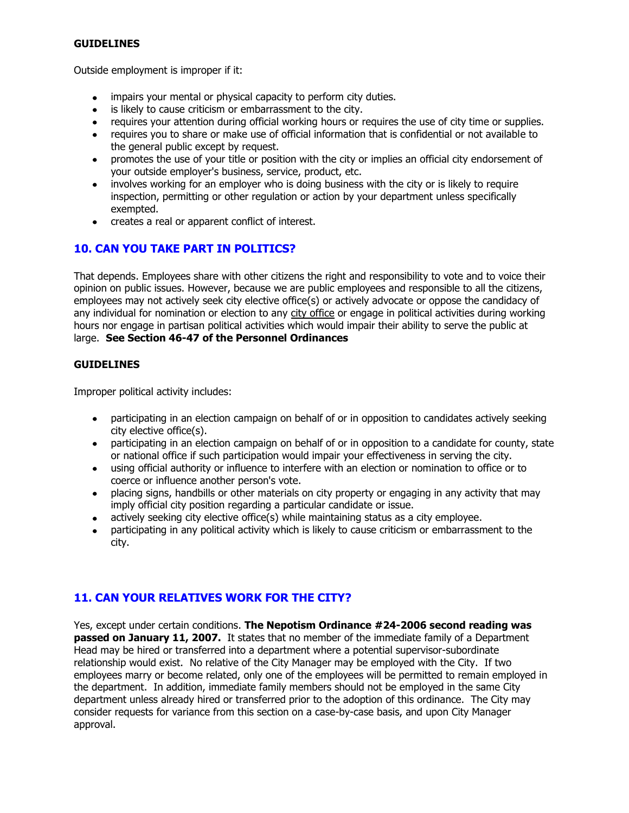#### **GUIDELINES**

Outside employment is improper if it:

- impairs your mental or physical capacity to perform city duties.  $\bullet$
- is likely to cause criticism or embarrassment to the city.
- requires your attention during official working hours or requires the use of city time or supplies.
- requires you to share or make use of official information that is confidential or not available to the general public except by request.
- promotes the use of your title or position with the city or implies an official city endorsement of  $\bullet$ your outside employer's business, service, product, etc.
- involves working for an employer who is doing business with the city or is likely to require  $\bullet$ inspection, permitting or other regulation or action by your department unless specifically exempted.
- creates a real or apparent conflict of interest.

## **10. CAN YOU TAKE PART IN POLITICS?**

That depends. Employees share with other citizens the right and responsibility to vote and to voice their opinion on public issues. However, because we are public employees and responsible to all the citizens, employees may not actively seek city elective office(s) or actively advocate or oppose the candidacy of any individual for nomination or election to any city office or engage in political activities during working hours nor engage in partisan political activities which would impair their ability to serve the public at large. **See Section 46-47 of the Personnel Ordinances**

#### **GUIDELINES**

Improper political activity includes:

- participating in an election campaign on behalf of or in opposition to candidates actively seeking city elective office(s).
- participating in an election campaign on behalf of or in opposition to a candidate for county, state or national office if such participation would impair your effectiveness in serving the city.
- using official authority or influence to interfere with an election or nomination to office or to coerce or influence another person's vote.
- placing signs, handbills or other materials on city property or engaging in any activity that may imply official city position regarding a particular candidate or issue.
- actively seeking city elective office(s) while maintaining status as a city employee.
- participating in any political activity which is likely to cause criticism or embarrassment to the city.

## **11. CAN YOUR RELATIVES WORK FOR THE CITY?**

Yes, except under certain conditions. **The Nepotism Ordinance #24-2006 second reading was passed on January 11, 2007.** It states that no member of the immediate family of a Department Head may be hired or transferred into a department where a potential supervisor-subordinate relationship would exist. No relative of the City Manager may be employed with the City. If two employees marry or become related, only one of the employees will be permitted to remain employed in the department. In addition, immediate family members should not be employed in the same City department unless already hired or transferred prior to the adoption of this ordinance. The City may consider requests for variance from this section on a case-by-case basis, and upon City Manager approval.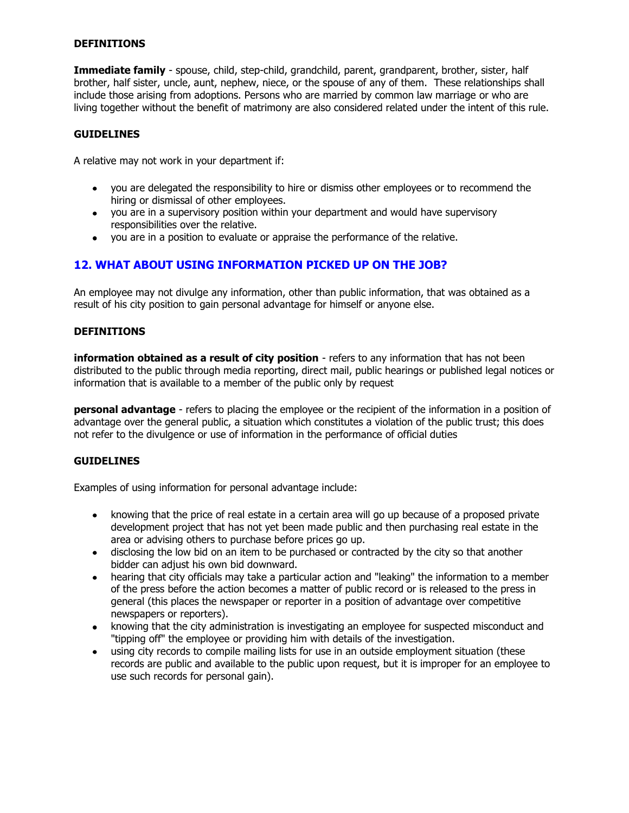#### **DEFINITIONS**

**Immediate family** - spouse, child, step-child, grandchild, parent, grandparent, brother, sister, half brother, half sister, uncle, aunt, nephew, niece, or the spouse of any of them. These relationships shall include those arising from adoptions. Persons who are married by common law marriage or who are living together without the benefit of matrimony are also considered related under the intent of this rule.

#### **GUIDELINES**

A relative may not work in your department if:

- you are delegated the responsibility to hire or dismiss other employees or to recommend the hiring or dismissal of other employees.
- you are in a supervisory position within your department and would have supervisory responsibilities over the relative.
- you are in a position to evaluate or appraise the performance of the relative.

## **12. WHAT ABOUT USING INFORMATION PICKED UP ON THE JOB?**

An employee may not divulge any information, other than public information, that was obtained as a result of his city position to gain personal advantage for himself or anyone else.

#### **DEFINITIONS**

**information obtained as a result of city position** - refers to any information that has not been distributed to the public through media reporting, direct mail, public hearings or published legal notices or information that is available to a member of the public only by request

**personal advantage** - refers to placing the employee or the recipient of the information in a position of advantage over the general public, a situation which constitutes a violation of the public trust; this does not refer to the divulgence or use of information in the performance of official duties

#### **GUIDELINES**

Examples of using information for personal advantage include:

- knowing that the price of real estate in a certain area will go up because of a proposed private development project that has not yet been made public and then purchasing real estate in the area or advising others to purchase before prices go up.
- disclosing the low bid on an item to be purchased or contracted by the city so that another bidder can adjust his own bid downward.
- hearing that city officials may take a particular action and "leaking" the information to a member of the press before the action becomes a matter of public record or is released to the press in general (this places the newspaper or reporter in a position of advantage over competitive newspapers or reporters).
- knowing that the city administration is investigating an employee for suspected misconduct and "tipping off" the employee or providing him with details of the investigation.
- using city records to compile mailing lists for use in an outside employment situation (these  $\bullet$ records are public and available to the public upon request, but it is improper for an employee to use such records for personal gain).